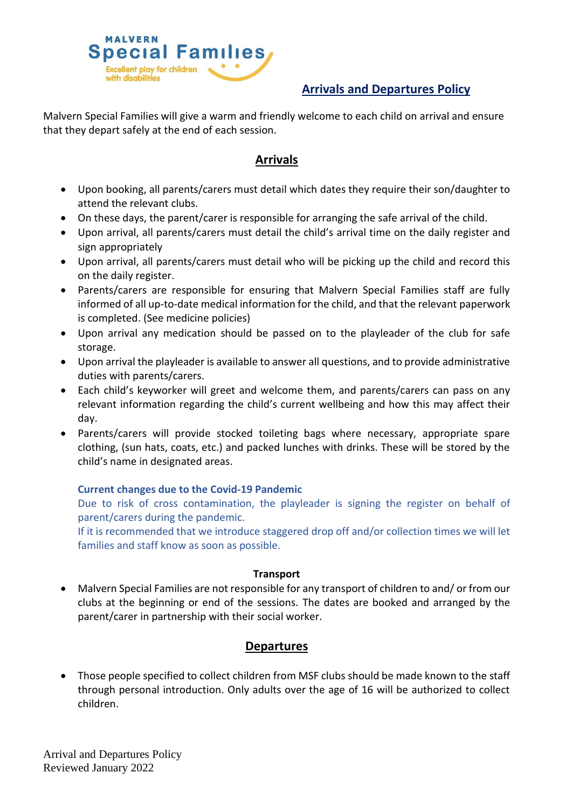

# **Arrivals and Departures Policy**

Malvern Special Families will give a warm and friendly welcome to each child on arrival and ensure that they depart safely at the end of each session.

# **Arrivals**

- Upon booking, all parents/carers must detail which dates they require their son/daughter to attend the relevant clubs.
- On these days, the parent/carer is responsible for arranging the safe arrival of the child.
- Upon arrival, all parents/carers must detail the child's arrival time on the daily register and sign appropriately
- Upon arrival, all parents/carers must detail who will be picking up the child and record this on the daily register.
- Parents/carers are responsible for ensuring that Malvern Special Families staff are fully informed of all up-to-date medical information for the child, and that the relevant paperwork is completed. (See medicine policies)
- Upon arrival any medication should be passed on to the playleader of the club for safe storage.
- Upon arrival the playleader is available to answer all questions, and to provide administrative duties with parents/carers.
- Each child's keyworker will greet and welcome them, and parents/carers can pass on any relevant information regarding the child's current wellbeing and how this may affect their day.
- Parents/carers will provide stocked toileting bags where necessary, appropriate spare clothing, (sun hats, coats, etc.) and packed lunches with drinks. These will be stored by the child's name in designated areas.

### **Current changes due to the Covid-19 Pandemic**

Due to risk of cross contamination, the playleader is signing the register on behalf of parent/carers during the pandemic.

If it is recommended that we introduce staggered drop off and/or collection times we will let families and staff know as soon as possible.

#### **Transport**

• Malvern Special Families are not responsible for any transport of children to and/ or from our clubs at the beginning or end of the sessions. The dates are booked and arranged by the parent/carer in partnership with their social worker.

## **Departures**

• Those people specified to collect children from MSF clubs should be made known to the staff through personal introduction. Only adults over the age of 16 will be authorized to collect children.

Arrival and Departures Policy Reviewed January 2022